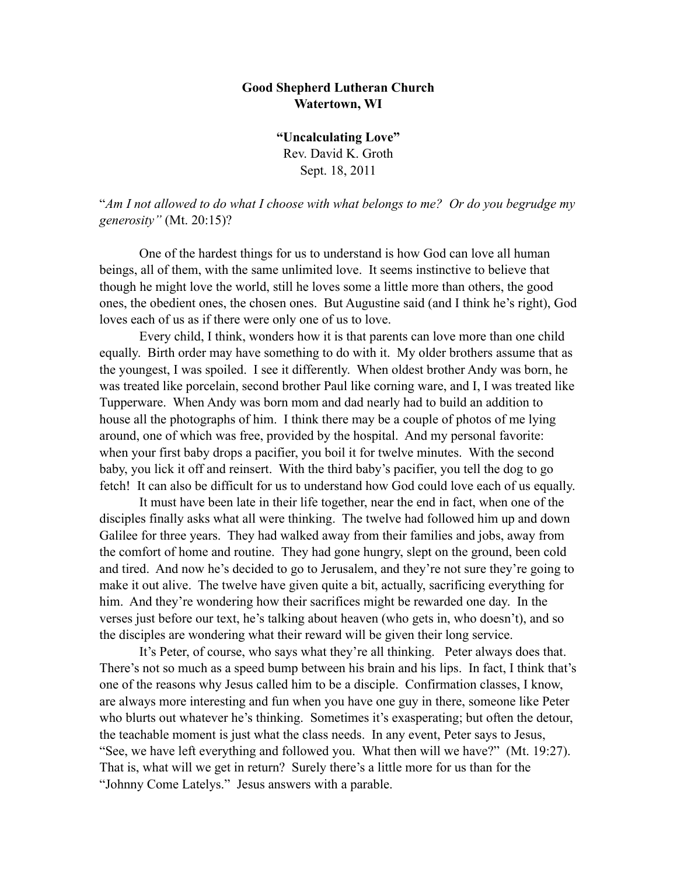## **Good Shepherd Lutheran Church Watertown, WI**

**"Uncalculating Love"** Rev. David K. Groth Sept. 18, 2011

"*Am I not allowed to do what I choose with what belongs to me? Or do you begrudge my generosity"* (Mt. 20:15)?

 One of the hardest things for us to understand is how God can love all human beings, all of them, with the same unlimited love. It seems instinctive to believe that though he might love the world, still he loves some a little more than others, the good ones, the obedient ones, the chosen ones. But Augustine said (and I think he's right), God loves each of us as if there were only one of us to love.

Every child, I think, wonders how it is that parents can love more than one child equally. Birth order may have something to do with it. My older brothers assume that as the youngest, I was spoiled. I see it differently. When oldest brother Andy was born, he was treated like porcelain, second brother Paul like corning ware, and I, I was treated like Tupperware. When Andy was born mom and dad nearly had to build an addition to house all the photographs of him. I think there may be a couple of photos of me lying around, one of which was free, provided by the hospital. And my personal favorite: when your first baby drops a pacifier, you boil it for twelve minutes. With the second baby, you lick it off and reinsert. With the third baby's pacifier, you tell the dog to go fetch! It can also be difficult for us to understand how God could love each of us equally.

It must have been late in their life together, near the end in fact, when one of the disciples finally asks what all were thinking. The twelve had followed him up and down Galilee for three years. They had walked away from their families and jobs, away from the comfort of home and routine. They had gone hungry, slept on the ground, been cold and tired. And now he's decided to go to Jerusalem, and they're not sure they're going to make it out alive. The twelve have given quite a bit, actually, sacrificing everything for him. And they're wondering how their sacrifices might be rewarded one day. In the verses just before our text, he's talking about heaven (who gets in, who doesn't), and so the disciples are wondering what their reward will be given their long service.

It's Peter, of course, who says what they're all thinking. Peter always does that. There's not so much as a speed bump between his brain and his lips. In fact, I think that's one of the reasons why Jesus called him to be a disciple. Confirmation classes, I know, are always more interesting and fun when you have one guy in there, someone like Peter who blurts out whatever he's thinking. Sometimes it's exasperating; but often the detour, the teachable moment is just what the class needs. In any event, Peter says to Jesus, "See, we have left everything and followed you. What then will we have?" (Mt. 19:27). That is, what will we get in return? Surely there's a little more for us than for the "Johnny Come Latelys." Jesus answers with a parable.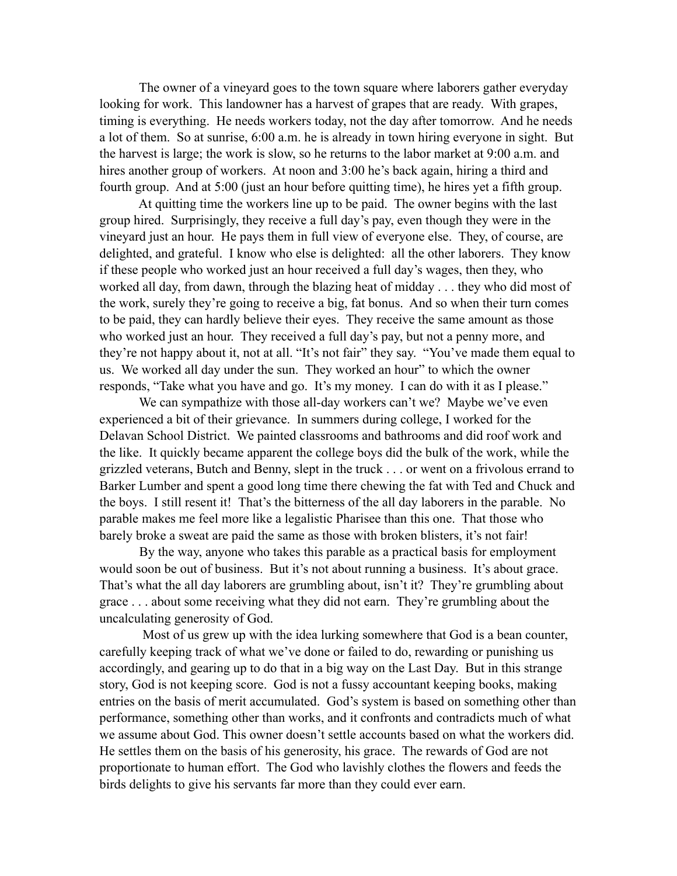The owner of a vineyard goes to the town square where laborers gather everyday looking for work. This landowner has a harvest of grapes that are ready. With grapes, timing is everything. He needs workers today, not the day after tomorrow. And he needs a lot of them. So at sunrise, 6:00 a.m. he is already in town hiring everyone in sight. But the harvest is large; the work is slow, so he returns to the labor market at 9:00 a.m. and hires another group of workers. At noon and 3:00 he's back again, hiring a third and fourth group. And at 5:00 (just an hour before quitting time), he hires yet a fifth group.

 At quitting time the workers line up to be paid. The owner begins with the last group hired. Surprisingly, they receive a full day's pay, even though they were in the vineyard just an hour. He pays them in full view of everyone else. They, of course, are delighted, and grateful. I know who else is delighted: all the other laborers. They know if these people who worked just an hour received a full day's wages, then they, who worked all day, from dawn, through the blazing heat of midday . . . they who did most of the work, surely they're going to receive a big, fat bonus. And so when their turn comes to be paid, they can hardly believe their eyes. They receive the same amount as those who worked just an hour. They received a full day's pay, but not a penny more, and they're not happy about it, not at all. "It's not fair" they say. "You've made them equal to us. We worked all day under the sun. They worked an hour" to which the owner responds, "Take what you have and go. It's my money. I can do with it as I please."

We can sympathize with those all-day workers can't we? Maybe we've even experienced a bit of their grievance. In summers during college, I worked for the Delavan School District. We painted classrooms and bathrooms and did roof work and the like. It quickly became apparent the college boys did the bulk of the work, while the grizzled veterans, Butch and Benny, slept in the truck . . . or went on a frivolous errand to Barker Lumber and spent a good long time there chewing the fat with Ted and Chuck and the boys. I still resent it! That's the bitterness of the all day laborers in the parable. No parable makes me feel more like a legalistic Pharisee than this one. That those who barely broke a sweat are paid the same as those with broken blisters, it's not fair!

 By the way, anyone who takes this parable as a practical basis for employment would soon be out of business. But it's not about running a business. It's about grace. That's what the all day laborers are grumbling about, isn't it? They're grumbling about grace . . . about some receiving what they did not earn. They're grumbling about the uncalculating generosity of God.

 Most of us grew up with the idea lurking somewhere that God is a bean counter, carefully keeping track of what we've done or failed to do, rewarding or punishing us accordingly, and gearing up to do that in a big way on the Last Day. But in this strange story, God is not keeping score. God is not a fussy accountant keeping books, making entries on the basis of merit accumulated. God's system is based on something other than performance, something other than works, and it confronts and contradicts much of what we assume about God. This owner doesn't settle accounts based on what the workers did. He settles them on the basis of his generosity, his grace. The rewards of God are not proportionate to human effort. The God who lavishly clothes the flowers and feeds the birds delights to give his servants far more than they could ever earn.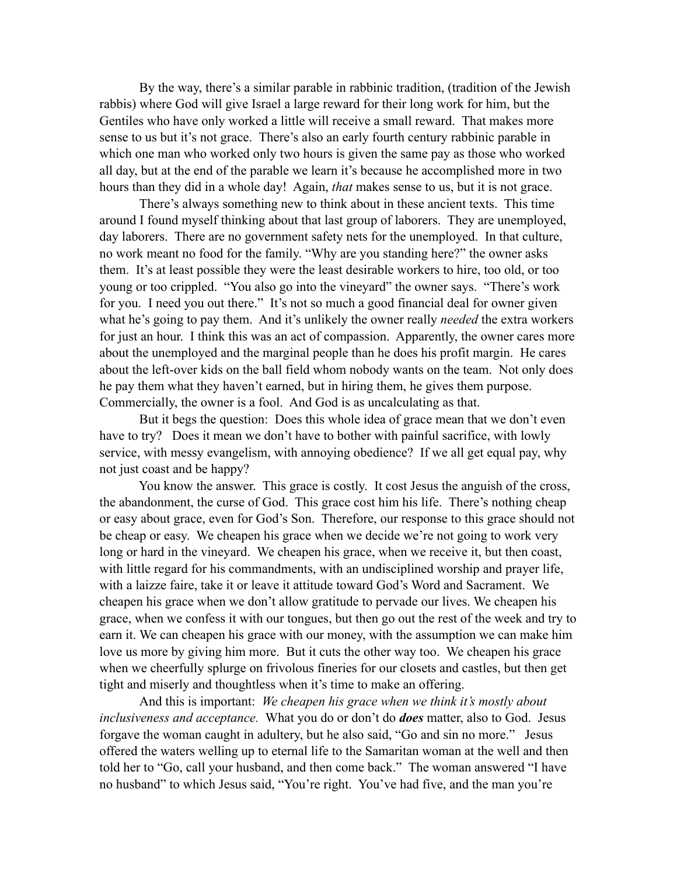By the way, there's a similar parable in rabbinic tradition, (tradition of the Jewish rabbis) where God will give Israel a large reward for their long work for him, but the Gentiles who have only worked a little will receive a small reward. That makes more sense to us but it's not grace. There's also an early fourth century rabbinic parable in which one man who worked only two hours is given the same pay as those who worked all day, but at the end of the parable we learn it's because he accomplished more in two hours than they did in a whole day! Again, *that* makes sense to us, but it is not grace.

There's always something new to think about in these ancient texts. This time around I found myself thinking about that last group of laborers. They are unemployed, day laborers. There are no government safety nets for the unemployed. In that culture, no work meant no food for the family. "Why are you standing here?" the owner asks them. It's at least possible they were the least desirable workers to hire, too old, or too young or too crippled. "You also go into the vineyard" the owner says. "There's work for you. I need you out there." It's not so much a good financial deal for owner given what he's going to pay them. And it's unlikely the owner really *needed* the extra workers for just an hour. I think this was an act of compassion. Apparently, the owner cares more about the unemployed and the marginal people than he does his profit margin. He cares about the left-over kids on the ball field whom nobody wants on the team. Not only does he pay them what they haven't earned, but in hiring them, he gives them purpose. Commercially, the owner is a fool. And God is as uncalculating as that.

 But it begs the question: Does this whole idea of grace mean that we don't even have to try? Does it mean we don't have to bother with painful sacrifice, with lowly service, with messy evangelism, with annoying obedience? If we all get equal pay, why not just coast and be happy?

 You know the answer. This grace is costly. It cost Jesus the anguish of the cross, the abandonment, the curse of God. This grace cost him his life. There's nothing cheap or easy about grace, even for God's Son. Therefore, our response to this grace should not be cheap or easy. We cheapen his grace when we decide we're not going to work very long or hard in the vineyard. We cheapen his grace, when we receive it, but then coast, with little regard for his commandments, with an undisciplined worship and prayer life, with a laizze faire, take it or leave it attitude toward God's Word and Sacrament. We cheapen his grace when we don't allow gratitude to pervade our lives. We cheapen his grace, when we confess it with our tongues, but then go out the rest of the week and try to earn it. We can cheapen his grace with our money, with the assumption we can make him love us more by giving him more. But it cuts the other way too. We cheapen his grace when we cheerfully splurge on frivolous fineries for our closets and castles, but then get tight and miserly and thoughtless when it's time to make an offering.

And this is important: *We cheapen his grace when we think it's mostly about inclusiveness and acceptance.* What you do or don't do *does* matter, also to God. Jesus forgave the woman caught in adultery, but he also said, "Go and sin no more." Jesus offered the waters welling up to eternal life to the Samaritan woman at the well and then told her to "Go, call your husband, and then come back." The woman answered "I have no husband" to which Jesus said, "You're right. You've had five, and the man you're